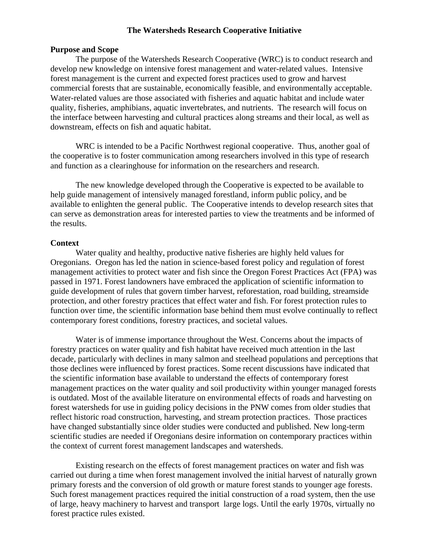### **The Watersheds Research Cooperative Initiative**

#### **Purpose and Scope**

The purpose of the Watersheds Research Cooperative (WRC) is to conduct research and develop new knowledge on intensive forest management and water-related values. Intensive forest management is the current and expected forest practices used to grow and harvest commercial forests that are sustainable, economically feasible, and environmentally acceptable. Water-related values are those associated with fisheries and aquatic habitat and include water quality, fisheries, amphibians, aquatic invertebrates, and nutrients. The research will focus on the interface between harvesting and cultural practices along streams and their local, as well as downstream, effects on fish and aquatic habitat.

WRC is intended to be a Pacific Northwest regional cooperative. Thus, another goal of the cooperative is to foster communication among researchers involved in this type of research and function as a clearinghouse for information on the researchers and research.

The new knowledge developed through the Cooperative is expected to be available to help guide management of intensively managed forestland, inform public policy, and be available to enlighten the general public. The Cooperative intends to develop research sites that can serve as demonstration areas for interested parties to view the treatments and be informed of the results.

#### **Context**

Water quality and healthy, productive native fisheries are highly held values for Oregonians. Oregon has led the nation in science-based forest policy and regulation of forest management activities to protect water and fish since the Oregon Forest Practices Act (FPA) was passed in 1971. Forest landowners have embraced the application of scientific information to guide development of rules that govern timber harvest, reforestation, road building, streamside protection, and other forestry practices that effect water and fish. For forest protection rules to function over time, the scientific information base behind them must evolve continually to reflect contemporary forest conditions, forestry practices, and societal values.

Water is of immense importance throughout the West. Concerns about the impacts of forestry practices on water quality and fish habitat have received much attention in the last decade, particularly with declines in many salmon and steelhead populations and perceptions that those declines were influenced by forest practices. Some recent discussions have indicated that the scientific information base available to understand the effects of contemporary forest management practices on the water quality and soil productivity within younger managed forests is outdated. Most of the available literature on environmental effects of roads and harvesting on forest watersheds for use in guiding policy decisions in the PNW comes from older studies that reflect historic road construction, harvesting, and stream protection practices. Those practices have changed substantially since older studies were conducted and published. New long-term scientific studies are needed if Oregonians desire information on contemporary practices within the context of current forest management landscapes and watersheds.

Existing research on the effects of forest management practices on water and fish was carried out during a time when forest management involved the initial harvest of naturally grown primary forests and the conversion of old growth or mature forest stands to younger age forests. Such forest management practices required the initial construction of a road system, then the use of large, heavy machinery to harvest and transport large logs. Until the early 1970s, virtually no forest practice rules existed.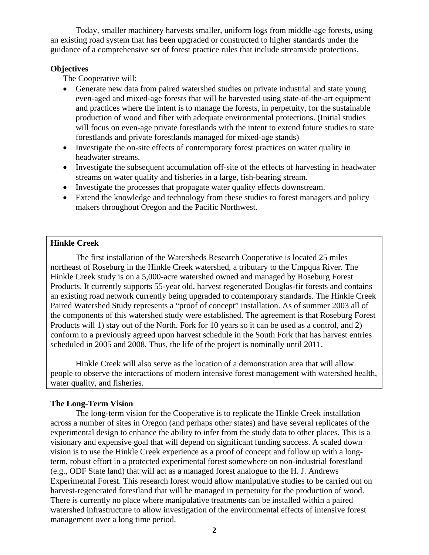Today, smaller machinery harvests smaller, uniform logs from middle-age forests, using an existing road system that has been upgraded or constructed to higher standards under the guidance of a comprehensive set of forest practice rules that include streamside protections.

### **Objectives**

The Cooperative will:

- Generate new data from paired watershed studies on private industrial and state young even-aged and mixed-age forests that will be harvested using state-of-the-art equipment and practices where the intent is to manage the forests, in perpetuity, for the sustainable production of wood and fiber with adequate environmental protections. (Initial studies will focus on even-age private forestlands with the intent to extend future studies to state forestlands and private forestlands managed for mixed-age stands)
- Investigate the on-site effects of contemporary forest practices on water quality in headwater streams.
- Investigate the subsequent accumulation off-site of the effects of harvesting in headwater streams on water quality and fisheries in a large, fish-bearing stream.
- Investigate the processes that propagate water quality effects downstream.
- Extend the knowledge and technology from these studies to forest managers and policy makers throughout Oregon and the Pacific Northwest.

### **Hinkle Creek**

The first installation of the Watersheds Research Cooperative is located 25 miles northeast of Roseburg in the Hinkle Creek watershed, a tributary to the Umpqua River. The Hinkle Creek study is on a 5,000-acre watershed owned and managed by Roseburg Forest Products. It currently supports 55-year old, harvest regenerated Douglas-fir forests and contains an existing road network currently being upgraded to contemporary standards. The Hinkle Creek Paired Watershed Study represents a "proof of concept" installation. As of summer 2003 all of the components of this watershed study were established. The agreement is that Roseburg Forest Products will 1) stay out of the North. Fork for 10 years so it can be used as a control, and 2) conform to a previously agreed upon harvest schedule in the South Fork that has harvest entries scheduled in 2005 and 2008. Thus, the life of the project is nominally until 2011.

Hinkle Creek will also serve as the location of a demonstration area that will allow people to observe the interactions of modern intensive forest management with watershed health, water quality, and fisheries.

### **The Long-Term Vision**

The long-term vision for the Cooperative is to replicate the Hinkle Creek installation across a number of sites in Oregon (and perhaps other states) and have several replicates of the experimental design to enhance the ability to infer from the study data to other places. This is a visionary and expensive goal that will depend on significant funding success. A scaled down vision is to use the Hinkle Creek experience as a proof of concept and follow up with a longterm, robust effort in a protected experimental forest somewhere on non-industrial forestland (e.g., ODF State land) that will act as a managed forest analogue to the H. J. Andrews Experimental Forest. This research forest would allow manipulative studies to be carried out on harvest-regenerated forestland that will be managed in perpetuity for the production of wood. There is currently no place where manipulative treatments can be installed within a paired watershed infrastructure to allow investigation of the environmental effects of intensive forest management over a long time period.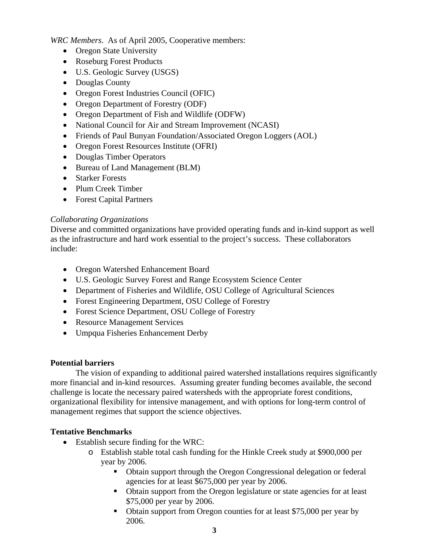*WRC Members*. As of April 2005, Cooperative members:

- Oregon State University
- Roseburg Forest Products
- U.S. Geologic Survey (USGS)
- Douglas County
- Oregon Forest Industries Council (OFIC)
- Oregon Department of Forestry (ODF)
- Oregon Department of Fish and Wildlife (ODFW)
- National Council for Air and Stream Improvement (NCASI)
- Friends of Paul Bunyan Foundation/Associated Oregon Loggers (AOL)
- Oregon Forest Resources Institute (OFRI)
- Douglas Timber Operators
- Bureau of Land Management (BLM)
- Starker Forests
- Plum Creek Timber
- Forest Capital Partners

# *Collaborating Organizations*

Diverse and committed organizations have provided operating funds and in-kind support as well as the infrastructure and hard work essential to the project's success. These collaborators include:

- Oregon Watershed Enhancement Board
- U.S. Geologic Survey Forest and Range Ecosystem Science Center
- Department of Fisheries and Wildlife, OSU College of Agricultural Sciences
- Forest Engineering Department, OSU College of Forestry
- Forest Science Department, OSU College of Forestry
- Resource Management Services
- Umpqua Fisheries Enhancement Derby

# **Potential barriers**

The vision of expanding to additional paired watershed installations requires significantly more financial and in-kind resources. Assuming greater funding becomes available, the second challenge is locate the necessary paired watersheds with the appropriate forest conditions, organizational flexibility for intensive management, and with options for long-term control of management regimes that support the science objectives.

# **Tentative Benchmarks**

- Establish secure finding for the WRC:
	- o Establish stable total cash funding for the Hinkle Creek study at \$900,000 per year by 2006.
		- Obtain support through the Oregon Congressional delegation or federal agencies for at least \$675,000 per year by 2006.
		- Obtain support from the Oregon legislature or state agencies for at least \$75,000 per year by 2006.
		- Obtain support from Oregon counties for at least \$75,000 per year by 2006.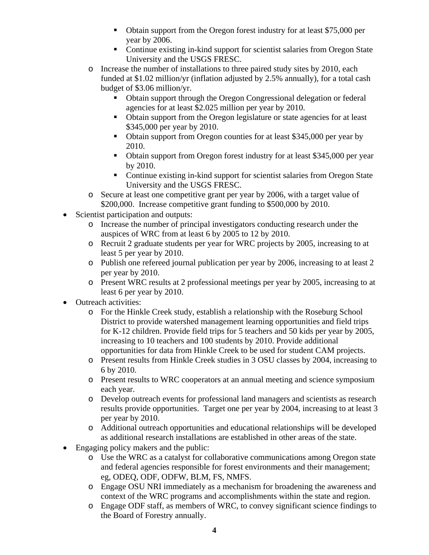- Obtain support from the Oregon forest industry for at least \$75,000 per year by 2006.
- Continue existing in-kind support for scientist salaries from Oregon State University and the USGS FRESC.
- o Increase the number of installations to three paired study sites by 2010, each funded at \$1.02 million/yr (inflation adjusted by 2.5% annually), for a total cash budget of \$3.06 million/yr.
	- Obtain support through the Oregon Congressional delegation or federal agencies for at least \$2.025 million per year by 2010.
	- Obtain support from the Oregon legislature or state agencies for at least \$345,000 per year by 2010.
	- Obtain support from Oregon counties for at least \$345,000 per year by 2010.
	- Obtain support from Oregon forest industry for at least \$345,000 per year by 2010.
	- Continue existing in-kind support for scientist salaries from Oregon State University and the USGS FRESC.
- o Secure at least one competitive grant per year by 2006, with a target value of \$200,000. Increase competitive grant funding to \$500,000 by 2010.
- Scientist participation and outputs:
	- o Increase the number of principal investigators conducting research under the auspices of WRC from at least 6 by 2005 to 12 by 2010.
	- o Recruit 2 graduate students per year for WRC projects by 2005, increasing to at least 5 per year by 2010.
	- o Publish one refereed journal publication per year by 2006, increasing to at least 2 per year by 2010.
	- o Present WRC results at 2 professional meetings per year by 2005, increasing to at least 6 per year by 2010.
- Outreach activities:
	- o For the Hinkle Creek study, establish a relationship with the Roseburg School District to provide watershed management learning opportunities and field trips for K-12 children. Provide field trips for 5 teachers and 50 kids per year by 2005, increasing to 10 teachers and 100 students by 2010. Provide additional opportunities for data from Hinkle Creek to be used for student CAM projects.
	- o Present results from Hinkle Creek studies in 3 OSU classes by 2004, increasing to 6 by 2010.
	- o Present results to WRC cooperators at an annual meeting and science symposium each year.
	- o Develop outreach events for professional land managers and scientists as research results provide opportunities. Target one per year by 2004, increasing to at least 3 per year by 2010.
	- o Additional outreach opportunities and educational relationships will be developed as additional research installations are established in other areas of the state.
- Engaging policy makers and the public:
	- o Use the WRC as a catalyst for collaborative communications among Oregon state and federal agencies responsible for forest environments and their management; eg, ODEQ, ODF, ODFW, BLM, FS, NMFS.
	- o Engage OSU NRI immediately as a mechanism for broadening the awareness and context of the WRC programs and accomplishments within the state and region.
	- o Engage ODF staff, as members of WRC, to convey significant science findings to the Board of Forestry annually.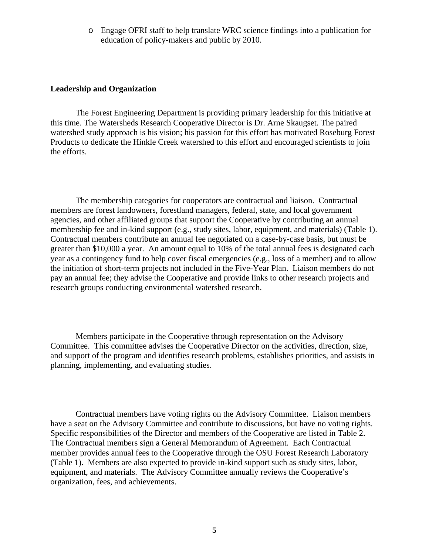o Engage OFRI staff to help translate WRC science findings into a publication for education of policy-makers and public by 2010.

#### **Leadership and Organization**

The Forest Engineering Department is providing primary leadership for this initiative at this time. The Watersheds Research Cooperative Director is Dr. Arne Skaugset. The paired watershed study approach is his vision; his passion for this effort has motivated Roseburg Forest Products to dedicate the Hinkle Creek watershed to this effort and encouraged scientists to join the efforts.

The membership categories for cooperators are contractual and liaison. Contractual members are forest landowners, forestland managers, federal, state, and local government agencies, and other affiliated groups that support the Cooperative by contributing an annual membership fee and in-kind support (e.g., study sites, labor, equipment, and materials) (Table 1). Contractual members contribute an annual fee negotiated on a case-by-case basis, but must be greater than \$10,000 a year. An amount equal to 10% of the total annual fees is designated each year as a contingency fund to help cover fiscal emergencies (e.g., loss of a member) and to allow the initiation of short-term projects not included in the Five-Year Plan. Liaison members do not pay an annual fee; they advise the Cooperative and provide links to other research projects and research groups conducting environmental watershed research.

Members participate in the Cooperative through representation on the Advisory Committee. This committee advises the Cooperative Director on the activities, direction, size, and support of the program and identifies research problems, establishes priorities, and assists in planning, implementing, and evaluating studies.

Contractual members have voting rights on the Advisory Committee. Liaison members have a seat on the Advisory Committee and contribute to discussions, but have no voting rights. Specific responsibilities of the Director and members of the Cooperative are listed in Table 2. The Contractual members sign a General Memorandum of Agreement. Each Contractual member provides annual fees to the Cooperative through the OSU Forest Research Laboratory (Table 1). Members are also expected to provide in-kind support such as study sites, labor, equipment, and materials. The Advisory Committee annually reviews the Cooperative's organization, fees, and achievements.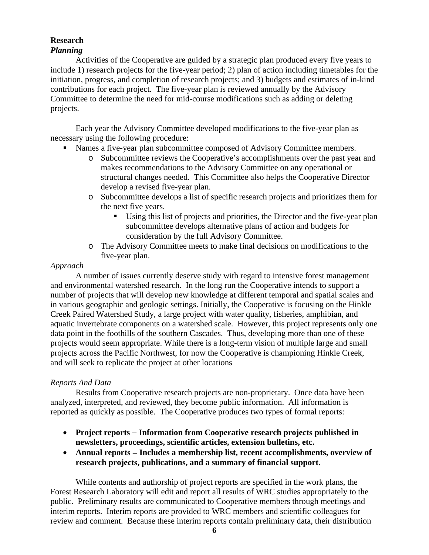# **Research**

# *Planning*

Activities of the Cooperative are guided by a strategic plan produced every five years to include 1) research projects for the five-year period; 2) plan of action including timetables for the initiation, progress, and completion of research projects; and 3) budgets and estimates of in-kind contributions for each project. The five-year plan is reviewed annually by the Advisory Committee to determine the need for mid-course modifications such as adding or deleting projects.

 Each year the Advisory Committee developed modifications to the five-year plan as necessary using the following procedure:

- Names a five-year plan subcommittee composed of Advisory Committee members.
	- o Subcommittee reviews the Cooperative's accomplishments over the past year and makes recommendations to the Advisory Committee on any operational or structural changes needed. This Committee also helps the Cooperative Director develop a revised five-year plan.
	- o Subcommittee develops a list of specific research projects and prioritizes them for the next five years.
		- Using this list of projects and priorities, the Director and the five-year plan subcommittee develops alternative plans of action and budgets for consideration by the full Advisory Committee.
	- o The Advisory Committee meets to make final decisions on modifications to the five-year plan.

# *Approach*

A number of issues currently deserve study with regard to intensive forest management and environmental watershed research. In the long run the Cooperative intends to support a number of projects that will develop new knowledge at different temporal and spatial scales and in various geographic and geologic settings. Initially, the Cooperative is focusing on the Hinkle Creek Paired Watershed Study, a large project with water quality, fisheries, amphibian, and aquatic invertebrate components on a watershed scale. However, this project represents only one data point in the foothills of the southern Cascades. Thus, developing more than one of these projects would seem appropriate. While there is a long-term vision of multiple large and small projects across the Pacific Northwest, for now the Cooperative is championing Hinkle Creek, and will seek to replicate the project at other locations

# *Reports And Data*

Results from Cooperative research projects are non-proprietary. Once data have been analyzed, interpreted, and reviewed, they become public information. All information is reported as quickly as possible. The Cooperative produces two types of formal reports:

- **Project reports** − **Information from Cooperative research projects published in newsletters, proceedings, scientific articles, extension bulletins, etc.**
- **Annual reports** − **Includes a membership list, recent accomplishments, overview of research projects, publications, and a summary of financial support.**

While contents and authorship of project reports are specified in the work plans, the Forest Research Laboratory will edit and report all results of WRC studies appropriately to the public. Preliminary results are communicated to Cooperative members through meetings and interim reports. Interim reports are provided to WRC members and scientific colleagues for review and comment. Because these interim reports contain preliminary data, their distribution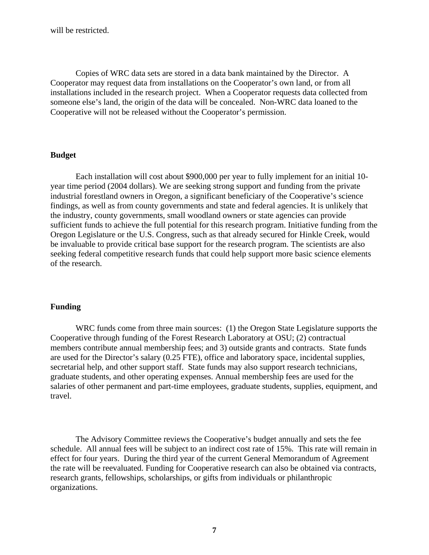will be restricted.

Copies of WRC data sets are stored in a data bank maintained by the Director. A Cooperator may request data from installations on the Cooperator's own land, or from all installations included in the research project. When a Cooperator requests data collected from someone else's land, the origin of the data will be concealed. Non-WRC data loaned to the Cooperative will not be released without the Cooperator's permission.

#### **Budget**

Each installation will cost about \$900,000 per year to fully implement for an initial 10 year time period (2004 dollars). We are seeking strong support and funding from the private industrial forestland owners in Oregon, a significant beneficiary of the Cooperative's science findings, as well as from county governments and state and federal agencies. It is unlikely that the industry, county governments, small woodland owners or state agencies can provide sufficient funds to achieve the full potential for this research program. Initiative funding from the Oregon Legislature or the U.S. Congress, such as that already secured for Hinkle Creek, would be invaluable to provide critical base support for the research program. The scientists are also seeking federal competitive research funds that could help support more basic science elements of the research.

### **Funding**

WRC funds come from three main sources: (1) the Oregon State Legislature supports the Cooperative through funding of the Forest Research Laboratory at OSU; (2) contractual members contribute annual membership fees; and 3) outside grants and contracts. State funds are used for the Director's salary (0.25 FTE), office and laboratory space, incidental supplies, secretarial help, and other support staff. State funds may also support research technicians, graduate students, and other operating expenses. Annual membership fees are used for the salaries of other permanent and part-time employees, graduate students, supplies, equipment, and travel.

The Advisory Committee reviews the Cooperative's budget annually and sets the fee schedule. All annual fees will be subject to an indirect cost rate of 15%. This rate will remain in effect for four years. During the third year of the current General Memorandum of Agreement the rate will be reevaluated. Funding for Cooperative research can also be obtained via contracts, research grants, fellowships, scholarships, or gifts from individuals or philanthropic organizations.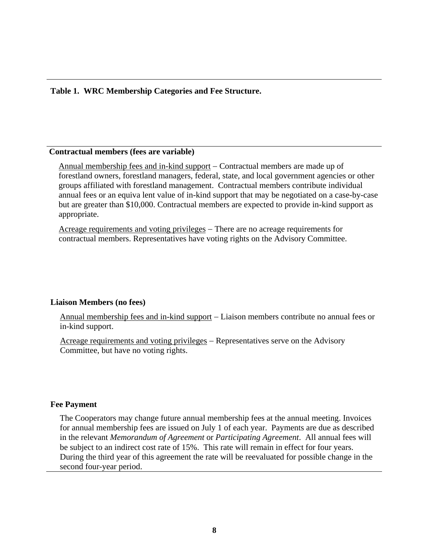### **Table 1. WRC Membership Categories and Fee Structure.**

### **Contractual members (fees are variable)**

Annual membership fees and in-kind support − Contractual members are made up of forestland owners, forestland managers, federal, state, and local government agencies or other groups affiliated with forestland management. Contractual members contribute individual annual fees or an equiva lent value of in-kind support that may be negotiated on a case-by-case but are greater than \$10,000. Contractual members are expected to provide in-kind support as appropriate.

Acreage requirements and voting privileges – There are no acreage requirements for contractual members. Representatives have voting rights on the Advisory Committee.

#### **Liaison Members (no fees)**

Annual membership fees and in-kind support − Liaison members contribute no annual fees or in-kind support.

Acreage requirements and voting privileges – Representatives serve on the Advisory Committee, but have no voting rights.

#### **Fee Payment**

The Cooperators may change future annual membership fees at the annual meeting. Invoices for annual membership fees are issued on July 1 of each year. Payments are due as described in the relevant *Memorandum of Agreement* or *Participating Agreement*. All annual fees will be subject to an indirect cost rate of 15%. This rate will remain in effect for four years. During the third year of this agreement the rate will be reevaluated for possible change in the second four-year period.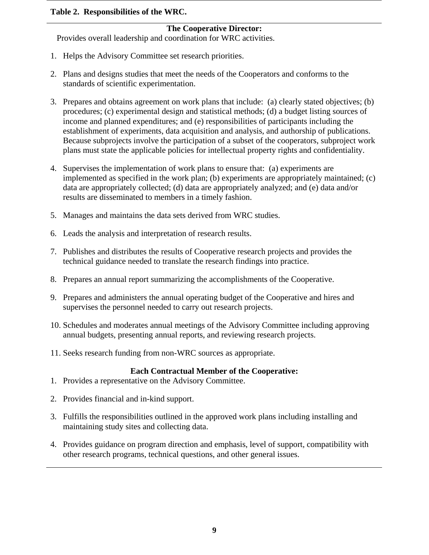### **Table 2. Responsibilities of the WRC.**

### **The Cooperative Director:**

Provides overall leadership and coordination for WRC activities.

- 1. Helps the Advisory Committee set research priorities.
- 2. Plans and designs studies that meet the needs of the Cooperators and conforms to the standards of scientific experimentation.
- 3. Prepares and obtains agreement on work plans that include: (a) clearly stated objectives; (b) procedures; (c) experimental design and statistical methods; (d) a budget listing sources of income and planned expenditures; and (e) responsibilities of participants including the establishment of experiments, data acquisition and analysis, and authorship of publications. Because subprojects involve the participation of a subset of the cooperators, subproject work plans must state the applicable policies for intellectual property rights and confidentiality.
- 4. Supervises the implementation of work plans to ensure that: (a) experiments are implemented as specified in the work plan; (b) experiments are appropriately maintained; (c) data are appropriately collected; (d) data are appropriately analyzed; and (e) data and/or results are disseminated to members in a timely fashion.
- 5. Manages and maintains the data sets derived from WRC studies.
- 6. Leads the analysis and interpretation of research results.
- 7. Publishes and distributes the results of Cooperative research projects and provides the technical guidance needed to translate the research findings into practice.
- 8. Prepares an annual report summarizing the accomplishments of the Cooperative.
- 9. Prepares and administers the annual operating budget of the Cooperative and hires and supervises the personnel needed to carry out research projects.
- 10. Schedules and moderates annual meetings of the Advisory Committee including approving annual budgets, presenting annual reports, and reviewing research projects.
- 11. Seeks research funding from non-WRC sources as appropriate.

#### **Each Contractual Member of the Cooperative:**

- 1. Provides a representative on the Advisory Committee.
- 2. Provides financial and in-kind support.
- 3. Fulfills the responsibilities outlined in the approved work plans including installing and maintaining study sites and collecting data.
- 4. Provides guidance on program direction and emphasis, level of support, compatibility with other research programs, technical questions, and other general issues.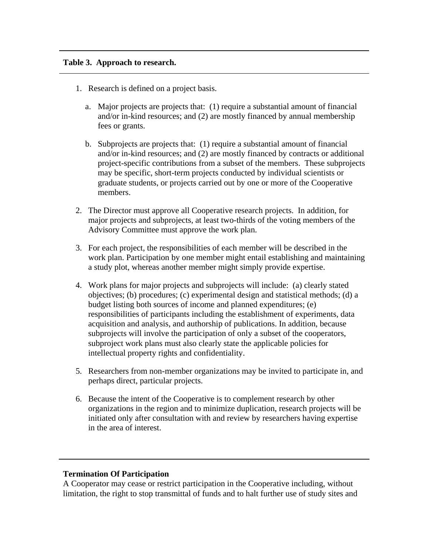### **Table 3. Approach to research.**

- 1. Research is defined on a project basis.
	- a. Major projects are projects that: (1) require a substantial amount of financial and/or in-kind resources; and (2) are mostly financed by annual membership fees or grants.
	- b. Subprojects are projects that: (1) require a substantial amount of financial and/or in-kind resources; and (2) are mostly financed by contracts or additional project-specific contributions from a subset of the members. These subprojects may be specific, short-term projects conducted by individual scientists or graduate students, or projects carried out by one or more of the Cooperative members.
- 2. The Director must approve all Cooperative research projects. In addition, for major projects and subprojects, at least two-thirds of the voting members of the Advisory Committee must approve the work plan.
- 3. For each project, the responsibilities of each member will be described in the work plan. Participation by one member might entail establishing and maintaining a study plot, whereas another member might simply provide expertise.
- 4. Work plans for major projects and subprojects will include: (a) clearly stated objectives; (b) procedures; (c) experimental design and statistical methods; (d) a budget listing both sources of income and planned expenditures; (e) responsibilities of participants including the establishment of experiments, data acquisition and analysis, and authorship of publications. In addition, because subprojects will involve the participation of only a subset of the cooperators, subproject work plans must also clearly state the applicable policies for intellectual property rights and confidentiality.
- 5. Researchers from non-member organizations may be invited to participate in, and perhaps direct, particular projects.
- 6. Because the intent of the Cooperative is to complement research by other organizations in the region and to minimize duplication, research projects will be initiated only after consultation with and review by researchers having expertise in the area of interest.

# **Termination Of Participation**

A Cooperator may cease or restrict participation in the Cooperative including, without limitation, the right to stop transmittal of funds and to halt further use of study sites and